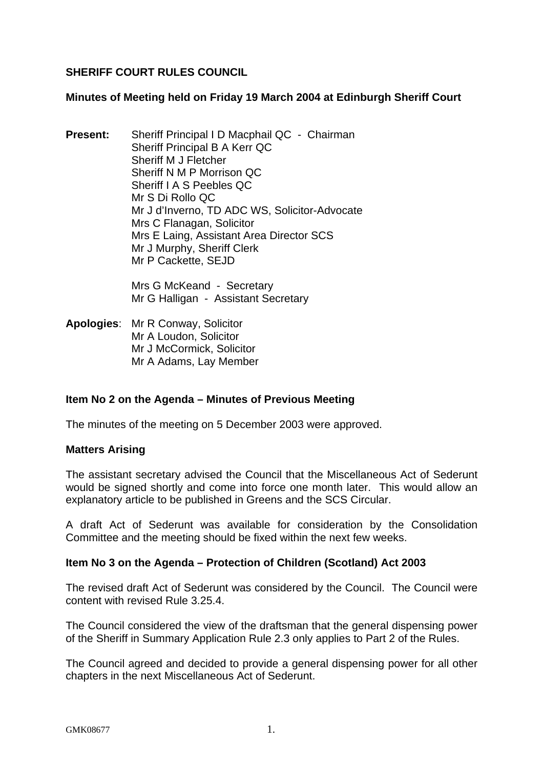# **SHERIFF COURT RULES COUNCIL**

### **Minutes of Meeting held on Friday 19 March 2004 at Edinburgh Sheriff Court**

**Present:** Sheriff Principal I D Macphail QC - Chairman Sheriff Principal B A Kerr QC Sheriff M J Fletcher Sheriff N M P Morrison QC Sheriff I A S Peebles QC Mr S Di Rollo QC Mr J d'Inverno, TD ADC WS, Solicitor-Advocate Mrs C Flanagan, Solicitor Mrs E Laing, Assistant Area Director SCS Mr J Murphy, Sheriff Clerk Mr P Cackette, SEJD

> Mrs G McKeand - Secretary Mr G Halligan - Assistant Secretary

**Apologies**: Mr R Conway, Solicitor Mr A Loudon, Solicitor Mr J McCormick, Solicitor Mr A Adams, Lay Member

## **Item No 2 on the Agenda – Minutes of Previous Meeting**

The minutes of the meeting on 5 December 2003 were approved.

#### **Matters Arising**

The assistant secretary advised the Council that the Miscellaneous Act of Sederunt would be signed shortly and come into force one month later. This would allow an explanatory article to be published in Greens and the SCS Circular.

A draft Act of Sederunt was available for consideration by the Consolidation Committee and the meeting should be fixed within the next few weeks.

## **Item No 3 on the Agenda – Protection of Children (Scotland) Act 2003**

The revised draft Act of Sederunt was considered by the Council. The Council were content with revised Rule 3.25.4.

The Council considered the view of the draftsman that the general dispensing power of the Sheriff in Summary Application Rule 2.3 only applies to Part 2 of the Rules.

The Council agreed and decided to provide a general dispensing power for all other chapters in the next Miscellaneous Act of Sederunt.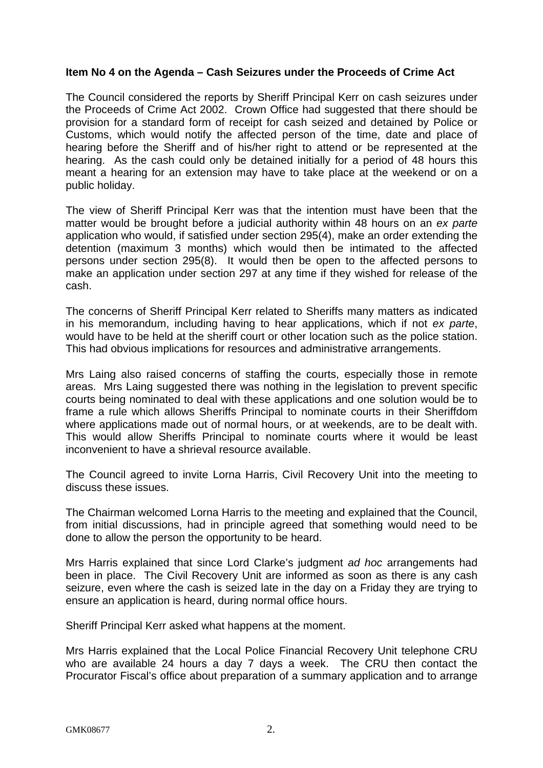### **Item No 4 on the Agenda – Cash Seizures under the Proceeds of Crime Act**

The Council considered the reports by Sheriff Principal Kerr on cash seizures under the Proceeds of Crime Act 2002. Crown Office had suggested that there should be provision for a standard form of receipt for cash seized and detained by Police or Customs, which would notify the affected person of the time, date and place of hearing before the Sheriff and of his/her right to attend or be represented at the hearing. As the cash could only be detained initially for a period of 48 hours this meant a hearing for an extension may have to take place at the weekend or on a public holiday.

The view of Sheriff Principal Kerr was that the intention must have been that the matter would be brought before a judicial authority within 48 hours on an *ex parte* application who would, if satisfied under section 295(4), make an order extending the detention (maximum 3 months) which would then be intimated to the affected persons under section 295(8). It would then be open to the affected persons to make an application under section 297 at any time if they wished for release of the cash.

The concerns of Sheriff Principal Kerr related to Sheriffs many matters as indicated in his memorandum, including having to hear applications, which if not *ex parte*, would have to be held at the sheriff court or other location such as the police station. This had obvious implications for resources and administrative arrangements.

Mrs Laing also raised concerns of staffing the courts, especially those in remote areas. Mrs Laing suggested there was nothing in the legislation to prevent specific courts being nominated to deal with these applications and one solution would be to frame a rule which allows Sheriffs Principal to nominate courts in their Sheriffdom where applications made out of normal hours, or at weekends, are to be dealt with. This would allow Sheriffs Principal to nominate courts where it would be least inconvenient to have a shrieval resource available.

The Council agreed to invite Lorna Harris, Civil Recovery Unit into the meeting to discuss these issues.

The Chairman welcomed Lorna Harris to the meeting and explained that the Council, from initial discussions, had in principle agreed that something would need to be done to allow the person the opportunity to be heard.

Mrs Harris explained that since Lord Clarke's judgment *ad hoc* arrangements had been in place. The Civil Recovery Unit are informed as soon as there is any cash seizure, even where the cash is seized late in the day on a Friday they are trying to ensure an application is heard, during normal office hours.

Sheriff Principal Kerr asked what happens at the moment.

Mrs Harris explained that the Local Police Financial Recovery Unit telephone CRU who are available 24 hours a day 7 days a week. The CRU then contact the Procurator Fiscal's office about preparation of a summary application and to arrange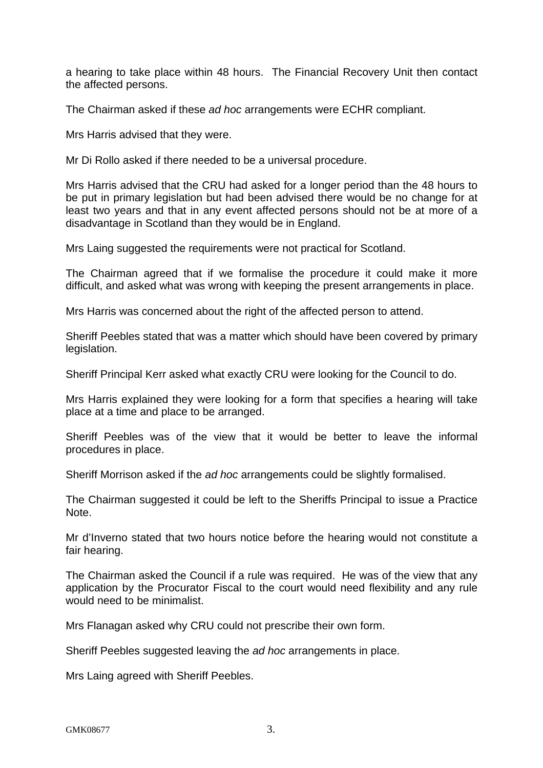a hearing to take place within 48 hours. The Financial Recovery Unit then contact the affected persons.

The Chairman asked if these *ad hoc* arrangements were ECHR compliant.

Mrs Harris advised that they were.

Mr Di Rollo asked if there needed to be a universal procedure.

Mrs Harris advised that the CRU had asked for a longer period than the 48 hours to be put in primary legislation but had been advised there would be no change for at least two years and that in any event affected persons should not be at more of a disadvantage in Scotland than they would be in England.

Mrs Laing suggested the requirements were not practical for Scotland.

The Chairman agreed that if we formalise the procedure it could make it more difficult, and asked what was wrong with keeping the present arrangements in place.

Mrs Harris was concerned about the right of the affected person to attend.

Sheriff Peebles stated that was a matter which should have been covered by primary legislation.

Sheriff Principal Kerr asked what exactly CRU were looking for the Council to do.

Mrs Harris explained they were looking for a form that specifies a hearing will take place at a time and place to be arranged.

Sheriff Peebles was of the view that it would be better to leave the informal procedures in place.

Sheriff Morrison asked if the *ad hoc* arrangements could be slightly formalised.

The Chairman suggested it could be left to the Sheriffs Principal to issue a Practice Note.

Mr d'Inverno stated that two hours notice before the hearing would not constitute a fair hearing.

The Chairman asked the Council if a rule was required. He was of the view that any application by the Procurator Fiscal to the court would need flexibility and any rule would need to be minimalist.

Mrs Flanagan asked why CRU could not prescribe their own form.

Sheriff Peebles suggested leaving the *ad hoc* arrangements in place.

Mrs Laing agreed with Sheriff Peebles.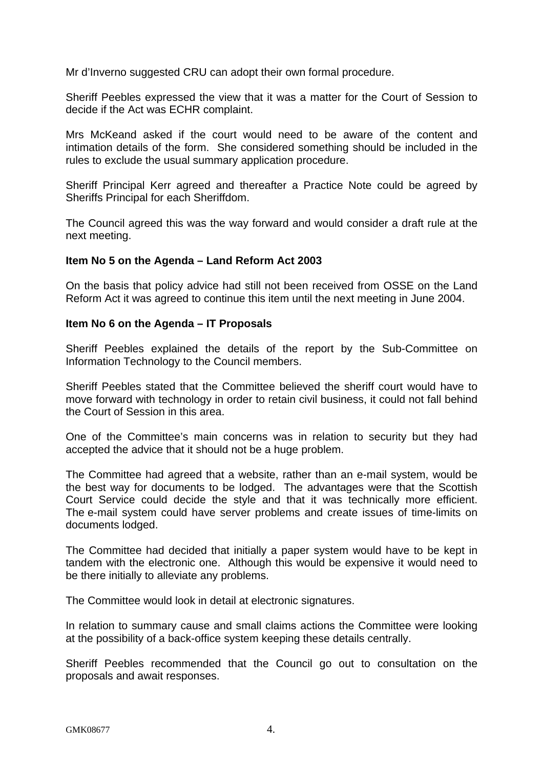Mr d'Inverno suggested CRU can adopt their own formal procedure.

Sheriff Peebles expressed the view that it was a matter for the Court of Session to decide if the Act was ECHR complaint.

Mrs McKeand asked if the court would need to be aware of the content and intimation details of the form. She considered something should be included in the rules to exclude the usual summary application procedure.

Sheriff Principal Kerr agreed and thereafter a Practice Note could be agreed by Sheriffs Principal for each Sheriffdom.

The Council agreed this was the way forward and would consider a draft rule at the next meeting.

## **Item No 5 on the Agenda – Land Reform Act 2003**

On the basis that policy advice had still not been received from OSSE on the Land Reform Act it was agreed to continue this item until the next meeting in June 2004.

#### **Item No 6 on the Agenda – IT Proposals**

Sheriff Peebles explained the details of the report by the Sub-Committee on Information Technology to the Council members.

Sheriff Peebles stated that the Committee believed the sheriff court would have to move forward with technology in order to retain civil business, it could not fall behind the Court of Session in this area.

One of the Committee's main concerns was in relation to security but they had accepted the advice that it should not be a huge problem.

The Committee had agreed that a website, rather than an e-mail system, would be the best way for documents to be lodged. The advantages were that the Scottish Court Service could decide the style and that it was technically more efficient. The e-mail system could have server problems and create issues of time-limits on documents lodged.

The Committee had decided that initially a paper system would have to be kept in tandem with the electronic one. Although this would be expensive it would need to be there initially to alleviate any problems.

The Committee would look in detail at electronic signatures.

In relation to summary cause and small claims actions the Committee were looking at the possibility of a back-office system keeping these details centrally.

Sheriff Peebles recommended that the Council go out to consultation on the proposals and await responses.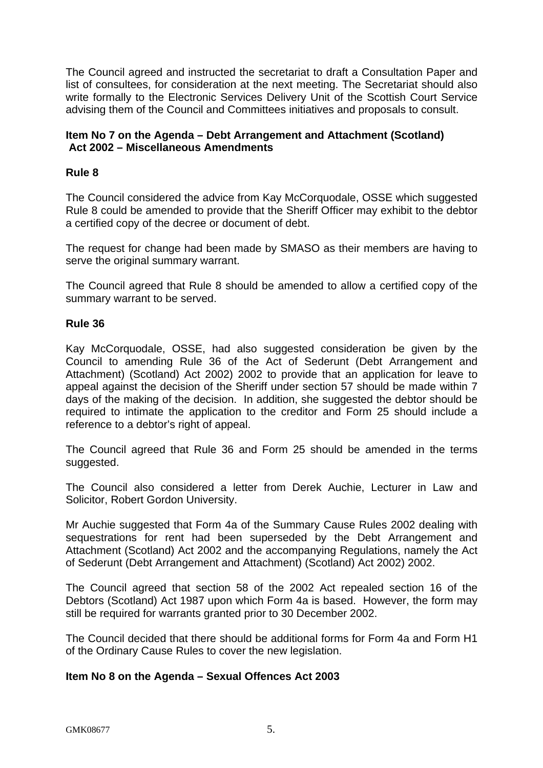The Council agreed and instructed the secretariat to draft a Consultation Paper and list of consultees, for consideration at the next meeting. The Secretariat should also write formally to the Electronic Services Delivery Unit of the Scottish Court Service advising them of the Council and Committees initiatives and proposals to consult.

## **Item No 7 on the Agenda – Debt Arrangement and Attachment (Scotland) Act 2002 – Miscellaneous Amendments**

## **Rule 8**

The Council considered the advice from Kay McCorquodale, OSSE which suggested Rule 8 could be amended to provide that the Sheriff Officer may exhibit to the debtor a certified copy of the decree or document of debt.

The request for change had been made by SMASO as their members are having to serve the original summary warrant.

The Council agreed that Rule 8 should be amended to allow a certified copy of the summary warrant to be served.

#### **Rule 36**

Kay McCorquodale, OSSE, had also suggested consideration be given by the Council to amending Rule 36 of the Act of Sederunt (Debt Arrangement and Attachment) (Scotland) Act 2002) 2002 to provide that an application for leave to appeal against the decision of the Sheriff under section 57 should be made within 7 days of the making of the decision. In addition, she suggested the debtor should be required to intimate the application to the creditor and Form 25 should include a reference to a debtor's right of appeal.

The Council agreed that Rule 36 and Form 25 should be amended in the terms suggested.

The Council also considered a letter from Derek Auchie, Lecturer in Law and Solicitor, Robert Gordon University.

Mr Auchie suggested that Form 4a of the Summary Cause Rules 2002 dealing with sequestrations for rent had been superseded by the Debt Arrangement and Attachment (Scotland) Act 2002 and the accompanying Regulations, namely the Act of Sederunt (Debt Arrangement and Attachment) (Scotland) Act 2002) 2002.

The Council agreed that section 58 of the 2002 Act repealed section 16 of the Debtors (Scotland) Act 1987 upon which Form 4a is based. However, the form may still be required for warrants granted prior to 30 December 2002.

The Council decided that there should be additional forms for Form 4a and Form H1 of the Ordinary Cause Rules to cover the new legislation.

## **Item No 8 on the Agenda – Sexual Offences Act 2003**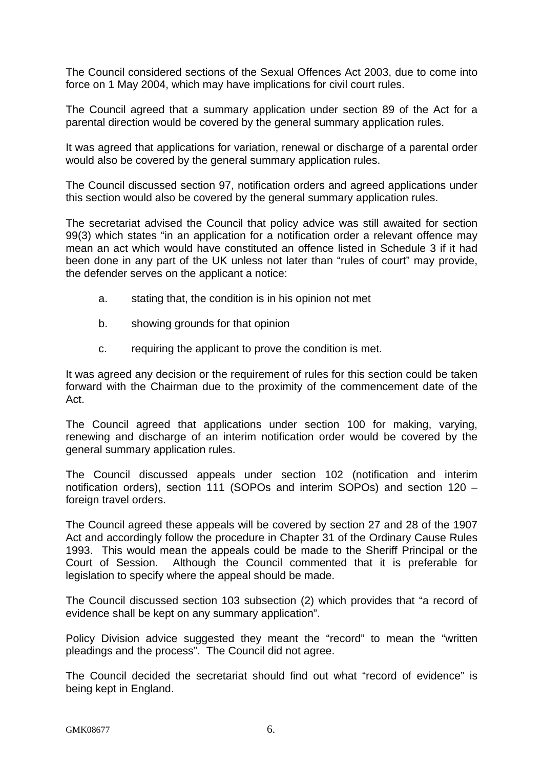The Council considered sections of the Sexual Offences Act 2003, due to come into force on 1 May 2004, which may have implications for civil court rules.

The Council agreed that a summary application under section 89 of the Act for a parental direction would be covered by the general summary application rules.

It was agreed that applications for variation, renewal or discharge of a parental order would also be covered by the general summary application rules.

The Council discussed section 97, notification orders and agreed applications under this section would also be covered by the general summary application rules.

The secretariat advised the Council that policy advice was still awaited for section 99(3) which states "in an application for a notification order a relevant offence may mean an act which would have constituted an offence listed in Schedule 3 if it had been done in any part of the UK unless not later than "rules of court" may provide, the defender serves on the applicant a notice:

- a. stating that, the condition is in his opinion not met
- b. showing grounds for that opinion
- c. requiring the applicant to prove the condition is met.

It was agreed any decision or the requirement of rules for this section could be taken forward with the Chairman due to the proximity of the commencement date of the Act.

The Council agreed that applications under section 100 for making, varying, renewing and discharge of an interim notification order would be covered by the general summary application rules.

The Council discussed appeals under section 102 (notification and interim notification orders), section 111 (SOPOs and interim SOPOs) and section 120 – foreign travel orders.

The Council agreed these appeals will be covered by section 27 and 28 of the 1907 Act and accordingly follow the procedure in Chapter 31 of the Ordinary Cause Rules 1993. This would mean the appeals could be made to the Sheriff Principal or the Court of Session. Although the Council commented that it is preferable for legislation to specify where the appeal should be made.

The Council discussed section 103 subsection (2) which provides that "a record of evidence shall be kept on any summary application".

Policy Division advice suggested they meant the "record" to mean the "written pleadings and the process". The Council did not agree.

The Council decided the secretariat should find out what "record of evidence" is being kept in England.